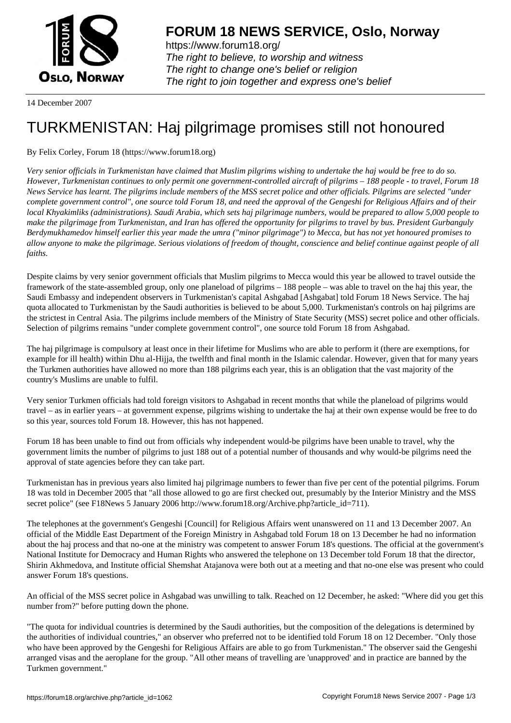

https://www.forum18.org/ The right to believe, to worship and witness The right to change one's belief or religion [The right to join together a](https://www.forum18.org/)nd express one's belief

14 December 2007

## [TURKMENISTA](https://www.forum18.org)N: Haj pilgrimage promises still not honoured

By Felix Corley, Forum 18 (https://www.forum18.org)

*Very senior officials in Turkmenistan have claimed that Muslim pilgrims wishing to undertake the haj would be free to do so. However, Turkmenistan continues to only permit one government-controlled aircraft of pilgrims – 188 people - to travel, Forum 18 News Service has learnt. The pilgrims include members of the MSS secret police and other officials. Pilgrims are selected "under complete government control", one source told Forum 18, and need the approval of the Gengeshi for Religious Affairs and of their local Khyakimliks (administrations). Saudi Arabia, which sets haj pilgrimage numbers, would be prepared to allow 5,000 people to make the pilgrimage from Turkmenistan, and Iran has offered the opportunity for pilgrims to travel by bus. President Gurbanguly Berdymukhamedov himself earlier this year made the umra ("minor pilgrimage") to Mecca, but has not yet honoured promises to allow anyone to make the pilgrimage. Serious violations of freedom of thought, conscience and belief continue against people of all faiths.*

Despite claims by very senior government officials that Muslim pilgrims to Mecca would this year be allowed to travel outside the framework of the state-assembled group, only one planeload of pilgrims – 188 people – was able to travel on the haj this year, the Saudi Embassy and independent observers in Turkmenistan's capital Ashgabad [Ashgabat] told Forum 18 News Service. The haj quota allocated to Turkmenistan by the Saudi authorities is believed to be about 5,000. Turkmenistan's controls on haj pilgrims are the strictest in Central Asia. The pilgrims include members of the Ministry of State Security (MSS) secret police and other officials. Selection of pilgrims remains "under complete government control", one source told Forum 18 from Ashgabad.

The haj pilgrimage is compulsory at least once in their lifetime for Muslims who are able to perform it (there are exemptions, for example for ill health) within Dhu al-Hijja, the twelfth and final month in the Islamic calendar. However, given that for many years the Turkmen authorities have allowed no more than 188 pilgrims each year, this is an obligation that the vast majority of the country's Muslims are unable to fulfil.

Very senior Turkmen officials had told foreign visitors to Ashgabad in recent months that while the planeload of pilgrims would travel – as in earlier years – at government expense, pilgrims wishing to undertake the haj at their own expense would be free to do so this year, sources told Forum 18. However, this has not happened.

Forum 18 has been unable to find out from officials why independent would-be pilgrims have been unable to travel, why the government limits the number of pilgrims to just 188 out of a potential number of thousands and why would-be pilgrims need the approval of state agencies before they can take part.

Turkmenistan has in previous years also limited haj pilgrimage numbers to fewer than five per cent of the potential pilgrims. Forum 18 was told in December 2005 that "all those allowed to go are first checked out, presumably by the Interior Ministry and the MSS secret police" (see F18News 5 January 2006 http://www.forum18.org/Archive.php?article\_id=711).

The telephones at the government's Gengeshi [Council] for Religious Affairs went unanswered on 11 and 13 December 2007. An official of the Middle East Department of the Foreign Ministry in Ashgabad told Forum 18 on 13 December he had no information about the haj process and that no-one at the ministry was competent to answer Forum 18's questions. The official at the government's National Institute for Democracy and Human Rights who answered the telephone on 13 December told Forum 18 that the director, Shirin Akhmedova, and Institute official Shemshat Atajanova were both out at a meeting and that no-one else was present who could answer Forum 18's questions.

An official of the MSS secret police in Ashgabad was unwilling to talk. Reached on 12 December, he asked: "Where did you get this number from?" before putting down the phone.

"The quota for individual countries is determined by the Saudi authorities, but the composition of the delegations is determined by the authorities of individual countries," an observer who preferred not to be identified told Forum 18 on 12 December. "Only those who have been approved by the Gengeshi for Religious Affairs are able to go from Turkmenistan." The observer said the Gengeshi arranged visas and the aeroplane for the group. "All other means of travelling are 'unapproved' and in practice are banned by the Turkmen government."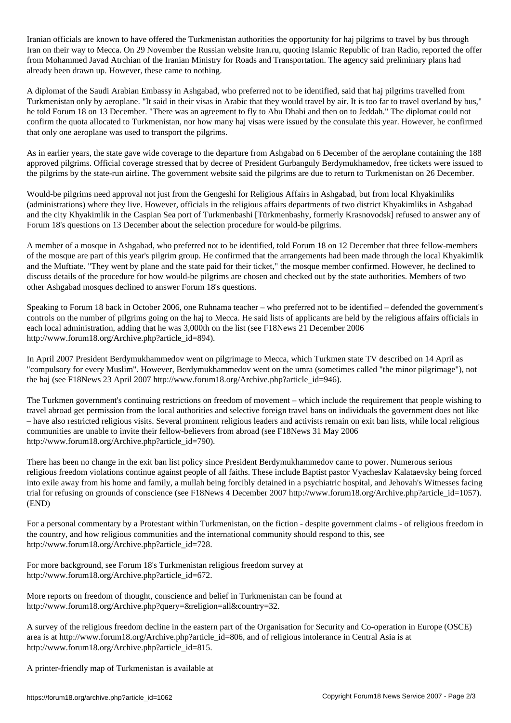Iranian officials are known to have offered the Turkmenistan authorities the opportunity for haj pilgrims to travel by bus through Iran on their way to Mecca. On 29 November the Russian website Iran.ru, quoting Islamic Republic of Iran Radio, reported the offer from Mohammed Javad Atrchian of the Iranian Ministry for Roads and Transportation. The agency said preliminary plans had already been drawn up. However, these came to nothing.

A diplomat of the Saudi Arabian Embassy in Ashgabad, who preferred not to be identified, said that haj pilgrims travelled from Turkmenistan only by aeroplane. "It said in their visas in Arabic that they would travel by air. It is too far to travel overland by bus," he told Forum 18 on 13 December. "There was an agreement to fly to Abu Dhabi and then on to Jeddah." The diplomat could not confirm the quota allocated to Turkmenistan, nor how many haj visas were issued by the consulate this year. However, he confirmed that only one aeroplane was used to transport the pilgrims.

As in earlier years, the state gave wide coverage to the departure from Ashgabad on 6 December of the aeroplane containing the 188 approved pilgrims. Official coverage stressed that by decree of President Gurbanguly Berdymukhamedov, free tickets were issued to the pilgrims by the state-run airline. The government website said the pilgrims are due to return to Turkmenistan on 26 December.

Would-be pilgrims need approval not just from the Gengeshi for Religious Affairs in Ashgabad, but from local Khyakimliks (administrations) where they live. However, officials in the religious affairs departments of two district Khyakimliks in Ashgabad and the city Khyakimlik in the Caspian Sea port of Turkmenbashi [Türkmenbashy, formerly Krasnovodsk] refused to answer any of Forum 18's questions on 13 December about the selection procedure for would-be pilgrims.

A member of a mosque in Ashgabad, who preferred not to be identified, told Forum 18 on 12 December that three fellow-members of the mosque are part of this year's pilgrim group. He confirmed that the arrangements had been made through the local Khyakimlik and the Muftiate. "They went by plane and the state paid for their ticket," the mosque member confirmed. However, he declined to discuss details of the procedure for how would-be pilgrims are chosen and checked out by the state authorities. Members of two other Ashgabad mosques declined to answer Forum 18's questions.

Speaking to Forum 18 back in October 2006, one Ruhnama teacher – who preferred not to be identified – defended the government's controls on the number of pilgrims going on the haj to Mecca. He said lists of applicants are held by the religious affairs officials in each local administration, adding that he was 3,000th on the list (see F18News 21 December 2006 http://www.forum18.org/Archive.php?article\_id=894).

In April 2007 President Berdymukhammedov went on pilgrimage to Mecca, which Turkmen state TV described on 14 April as "compulsory for every Muslim". However, Berdymukhammedov went on the umra (sometimes called "the minor pilgrimage"), not the haj (see F18News 23 April 2007 http://www.forum18.org/Archive.php?article\_id=946).

The Turkmen government's continuing restrictions on freedom of movement – which include the requirement that people wishing to travel abroad get permission from the local authorities and selective foreign travel bans on individuals the government does not like – have also restricted religious visits. Several prominent religious leaders and activists remain on exit ban lists, while local religious communities are unable to invite their fellow-believers from abroad (see F18News 31 May 2006 http://www.forum18.org/Archive.php?article\_id=790).

There has been no change in the exit ban list policy since President Berdymukhammedov came to power. Numerous serious religious freedom violations continue against people of all faiths. These include Baptist pastor Vyacheslav Kalataevsky being forced into exile away from his home and family, a mullah being forcibly detained in a psychiatric hospital, and Jehovah's Witnesses facing trial for refusing on grounds of conscience (see F18News 4 December 2007 http://www.forum18.org/Archive.php?article\_id=1057). (END)

For a personal commentary by a Protestant within Turkmenistan, on the fiction - despite government claims - of religious freedom in the country, and how religious communities and the international community should respond to this, see http://www.forum18.org/Archive.php?article\_id=728.

For more background, see Forum 18's Turkmenistan religious freedom survey at http://www.forum18.org/Archive.php?article\_id=672.

More reports on freedom of thought, conscience and belief in Turkmenistan can be found at http://www.forum18.org/Archive.php?query=&religion=all&country=32.

A survey of the religious freedom decline in the eastern part of the Organisation for Security and Co-operation in Europe (OSCE) area is at http://www.forum18.org/Archive.php?article\_id=806, and of religious intolerance in Central Asia is at http://www.forum18.org/Archive.php?article\_id=815.

A printer-friendly map of Turkmenistan is available at